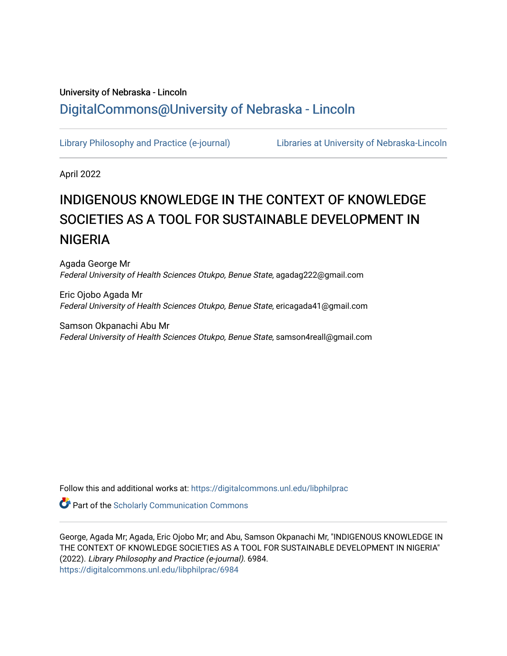### University of Nebraska - Lincoln [DigitalCommons@University of Nebraska - Lincoln](https://digitalcommons.unl.edu/)

[Library Philosophy and Practice \(e-journal\)](https://digitalcommons.unl.edu/libphilprac) [Libraries at University of Nebraska-Lincoln](https://digitalcommons.unl.edu/libraries) 

April 2022

# INDIGENOUS KNOWLEDGE IN THE CONTEXT OF KNOWLEDGE SOCIETIES AS A TOOL FOR SUSTAINABLE DEVELOPMENT IN NIGERIA

Agada George Mr Federal University of Health Sciences Otukpo, Benue State, agadag222@gmail.com

Eric Ojobo Agada Mr Federal University of Health Sciences Otukpo, Benue State, ericagada41@gmail.com

Samson Okpanachi Abu Mr Federal University of Health Sciences Otukpo, Benue State, samson4reall@gmail.com

Follow this and additional works at: [https://digitalcommons.unl.edu/libphilprac](https://digitalcommons.unl.edu/libphilprac?utm_source=digitalcommons.unl.edu%2Flibphilprac%2F6984&utm_medium=PDF&utm_campaign=PDFCoverPages) 

**Part of the Scholarly Communication Commons** 

George, Agada Mr; Agada, Eric Ojobo Mr; and Abu, Samson Okpanachi Mr, "INDIGENOUS KNOWLEDGE IN THE CONTEXT OF KNOWLEDGE SOCIETIES AS A TOOL FOR SUSTAINABLE DEVELOPMENT IN NIGERIA" (2022). Library Philosophy and Practice (e-journal). 6984. [https://digitalcommons.unl.edu/libphilprac/6984](https://digitalcommons.unl.edu/libphilprac/6984?utm_source=digitalcommons.unl.edu%2Flibphilprac%2F6984&utm_medium=PDF&utm_campaign=PDFCoverPages)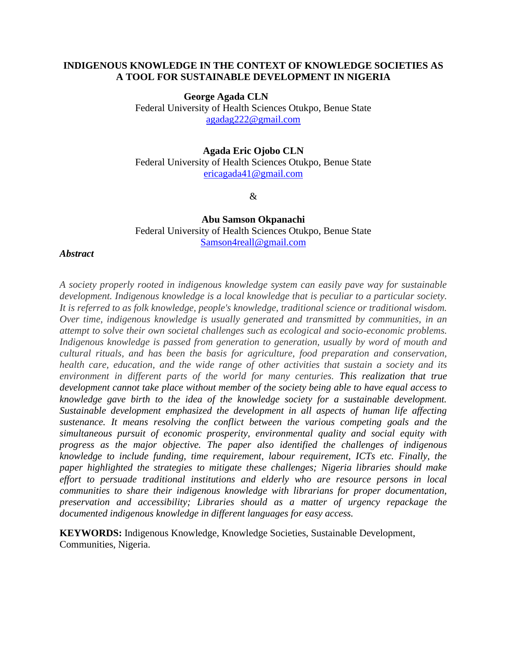#### **INDIGENOUS KNOWLEDGE IN THE CONTEXT OF KNOWLEDGE SOCIETIES AS A TOOL FOR SUSTAINABLE DEVELOPMENT IN NIGERIA**

**George Agada CLN**

Federal University of Health Sciences Otukpo, Benue State [agadag222@gmail.com](mailto:agadag222@gmail.com)

#### **Agada Eric Ojobo CLN**

Federal University of Health Sciences Otukpo, Benue State [ericagada41@gmail.com](mailto:ericagada41@gmail.com)

&

**Abu Samson Okpanachi**  Federal University of Health Sciences Otukpo, Benue State [Samson4reall@gmail.com](mailto:Samson4reall@gmail.com)

#### *Abstract*

*A society properly rooted in indigenous knowledge system can easily pave way for sustainable development. Indigenous knowledge is a local knowledge that is peculiar to a particular society. It is referred to as folk knowledge, people's knowledge, traditional science or traditional wisdom. Over time, indigenous knowledge is usually generated and transmitted by communities, in an attempt to solve their own societal challenges such as ecological and socio-economic problems. Indigenous knowledge is passed from generation to generation, usually by word of mouth and cultural rituals, and has been the basis for agriculture, food preparation and conservation, health care, education, and the wide range of other activities that sustain a society and its environment in different parts of the world for many centuries. This realization that true development cannot take place without member of the society being able to have equal access to knowledge gave birth to the idea of the knowledge society for a sustainable development. Sustainable development emphasized the development in all aspects of human life affecting sustenance. It means resolving the conflict between the various competing goals and the simultaneous pursuit of economic prosperity, environmental quality and social equity with progress as the major objective. The paper also identified the challenges of indigenous knowledge to include funding, time requirement, labour requirement, ICTs etc. Finally, the paper highlighted the strategies to mitigate these challenges; Nigeria libraries should make effort to persuade traditional institutions and elderly who are resource persons in local communities to share their indigenous knowledge with librarians for proper documentation, preservation and accessibility; Libraries should as a matter of urgency repackage the documented indigenous knowledge in different languages for easy access.*

**KEYWORDS:** Indigenous Knowledge, Knowledge Societies, Sustainable Development, Communities, Nigeria.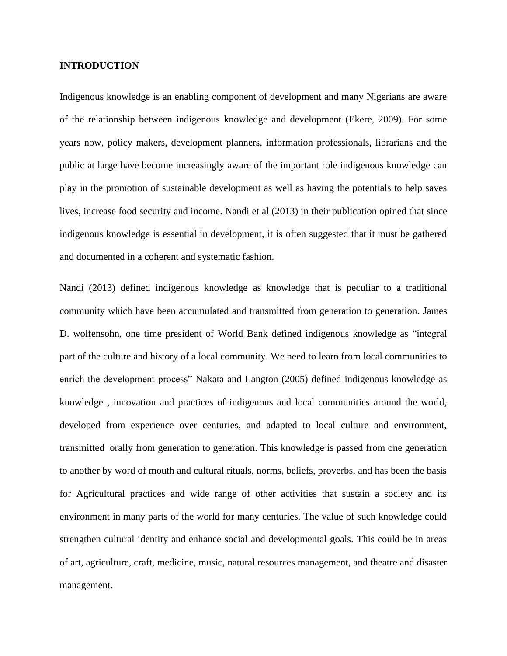#### **INTRODUCTION**

Indigenous knowledge is an enabling component of development and many Nigerians are aware of the relationship between indigenous knowledge and development (Ekere, 2009). For some years now, policy makers, development planners, information professionals, librarians and the public at large have become increasingly aware of the important role indigenous knowledge can play in the promotion of sustainable development as well as having the potentials to help saves lives, increase food security and income. Nandi et al (2013) in their publication opined that since indigenous knowledge is essential in development, it is often suggested that it must be gathered and documented in a coherent and systematic fashion.

Nandi (2013) defined indigenous knowledge as knowledge that is peculiar to a traditional community which have been accumulated and transmitted from generation to generation. James D. wolfensohn, one time president of World Bank defined indigenous knowledge as "integral part of the culture and history of a local community. We need to learn from local communities to enrich the development process" Nakata and Langton (2005) defined indigenous knowledge as knowledge , innovation and practices of indigenous and local communities around the world, developed from experience over centuries, and adapted to local culture and environment, transmitted orally from generation to generation. This knowledge is passed from one generation to another by word of mouth and cultural rituals, norms, beliefs, proverbs, and has been the basis for Agricultural practices and wide range of other activities that sustain a society and its environment in many parts of the world for many centuries. The value of such knowledge could strengthen cultural identity and enhance social and developmental goals. This could be in areas of art, agriculture, craft, medicine, music, natural resources management, and theatre and disaster management.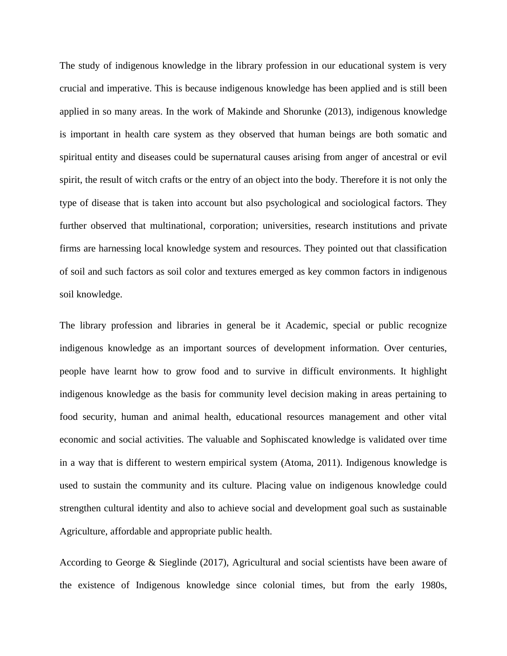The study of indigenous knowledge in the library profession in our educational system is very crucial and imperative. This is because indigenous knowledge has been applied and is still been applied in so many areas. In the work of Makinde and Shorunke (2013), indigenous knowledge is important in health care system as they observed that human beings are both somatic and spiritual entity and diseases could be supernatural causes arising from anger of ancestral or evil spirit, the result of witch crafts or the entry of an object into the body. Therefore it is not only the type of disease that is taken into account but also psychological and sociological factors. They further observed that multinational, corporation; universities, research institutions and private firms are harnessing local knowledge system and resources. They pointed out that classification of soil and such factors as soil color and textures emerged as key common factors in indigenous soil knowledge.

The library profession and libraries in general be it Academic, special or public recognize indigenous knowledge as an important sources of development information. Over centuries, people have learnt how to grow food and to survive in difficult environments. It highlight indigenous knowledge as the basis for community level decision making in areas pertaining to food security, human and animal health, educational resources management and other vital economic and social activities. The valuable and Sophiscated knowledge is validated over time in a way that is different to western empirical system (Atoma, 2011). Indigenous knowledge is used to sustain the community and its culture. Placing value on indigenous knowledge could strengthen cultural identity and also to achieve social and development goal such as sustainable Agriculture, affordable and appropriate public health.

According to George & Sieglinde (2017), Agricultural and social scientists have been aware of the existence of Indigenous knowledge since colonial times, but from the early 1980s,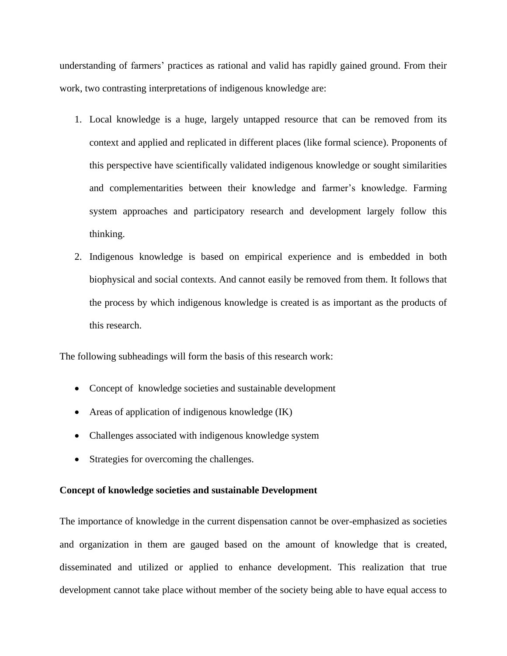understanding of farmers' practices as rational and valid has rapidly gained ground. From their work, two contrasting interpretations of indigenous knowledge are:

- 1. Local knowledge is a huge, largely untapped resource that can be removed from its context and applied and replicated in different places (like formal science). Proponents of this perspective have scientifically validated indigenous knowledge or sought similarities and complementarities between their knowledge and farmer's knowledge. Farming system approaches and participatory research and development largely follow this thinking.
- 2. Indigenous knowledge is based on empirical experience and is embedded in both biophysical and social contexts. And cannot easily be removed from them. It follows that the process by which indigenous knowledge is created is as important as the products of this research.

The following subheadings will form the basis of this research work:

- Concept of knowledge societies and sustainable development
- Areas of application of indigenous knowledge (IK)
- Challenges associated with indigenous knowledge system
- Strategies for overcoming the challenges.

#### **Concept of knowledge societies and sustainable Development**

The importance of knowledge in the current dispensation cannot be over-emphasized as societies and organization in them are gauged based on the amount of knowledge that is created, disseminated and utilized or applied to enhance development. This realization that true development cannot take place without member of the society being able to have equal access to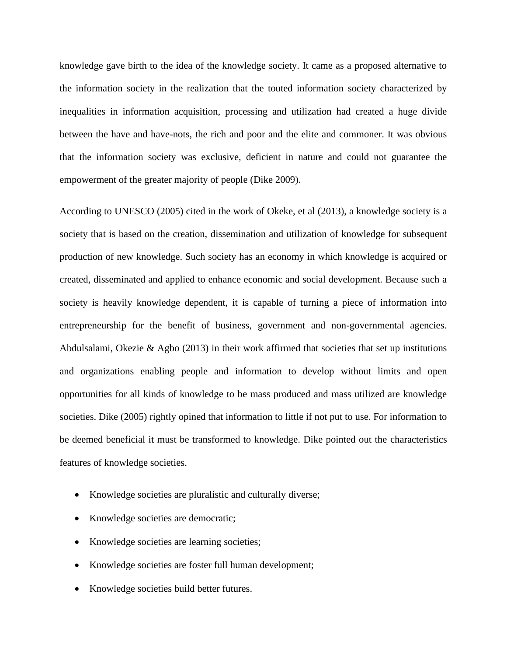knowledge gave birth to the idea of the knowledge society. It came as a proposed alternative to the information society in the realization that the touted information society characterized by inequalities in information acquisition, processing and utilization had created a huge divide between the have and have-nots, the rich and poor and the elite and commoner. It was obvious that the information society was exclusive, deficient in nature and could not guarantee the empowerment of the greater majority of people (Dike 2009).

According to UNESCO (2005) cited in the work of Okeke, et al (2013), a knowledge society is a society that is based on the creation, dissemination and utilization of knowledge for subsequent production of new knowledge. Such society has an economy in which knowledge is acquired or created, disseminated and applied to enhance economic and social development. Because such a society is heavily knowledge dependent, it is capable of turning a piece of information into entrepreneurship for the benefit of business, government and non-governmental agencies. Abdulsalami, Okezie & Agbo (2013) in their work affirmed that societies that set up institutions and organizations enabling people and information to develop without limits and open opportunities for all kinds of knowledge to be mass produced and mass utilized are knowledge societies. Dike (2005) rightly opined that information to little if not put to use. For information to be deemed beneficial it must be transformed to knowledge. Dike pointed out the characteristics features of knowledge societies.

- Knowledge societies are pluralistic and culturally diverse;
- Knowledge societies are democratic;
- Knowledge societies are learning societies;
- Knowledge societies are foster full human development;
- Knowledge societies build better futures.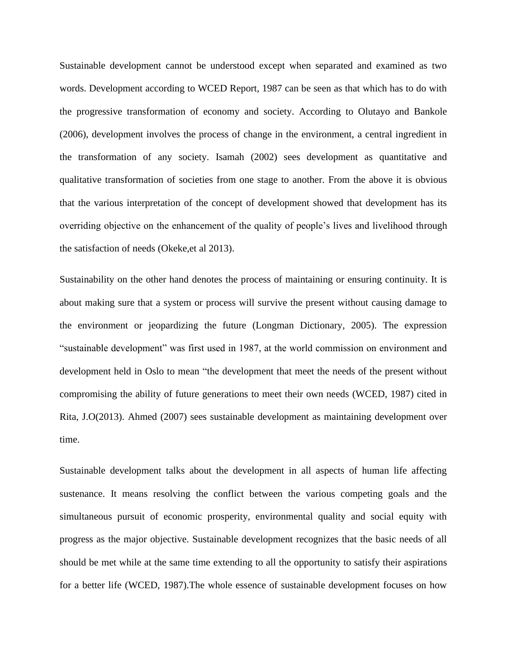Sustainable development cannot be understood except when separated and examined as two words. Development according to WCED Report, 1987 can be seen as that which has to do with the progressive transformation of economy and society. According to Olutayo and Bankole (2006), development involves the process of change in the environment, a central ingredient in the transformation of any society. Isamah (2002) sees development as quantitative and qualitative transformation of societies from one stage to another. From the above it is obvious that the various interpretation of the concept of development showed that development has its overriding objective on the enhancement of the quality of people's lives and livelihood through the satisfaction of needs (Okeke,et al 2013).

Sustainability on the other hand denotes the process of maintaining or ensuring continuity. It is about making sure that a system or process will survive the present without causing damage to the environment or jeopardizing the future (Longman Dictionary, 2005). The expression "sustainable development" was first used in 1987, at the world commission on environment and development held in Oslo to mean "the development that meet the needs of the present without compromising the ability of future generations to meet their own needs (WCED, 1987) cited in Rita, J.O(2013). Ahmed (2007) sees sustainable development as maintaining development over time.

Sustainable development talks about the development in all aspects of human life affecting sustenance. It means resolving the conflict between the various competing goals and the simultaneous pursuit of economic prosperity, environmental quality and social equity with progress as the major objective. Sustainable development recognizes that the basic needs of all should be met while at the same time extending to all the opportunity to satisfy their aspirations for a better life (WCED, 1987).The whole essence of sustainable development focuses on how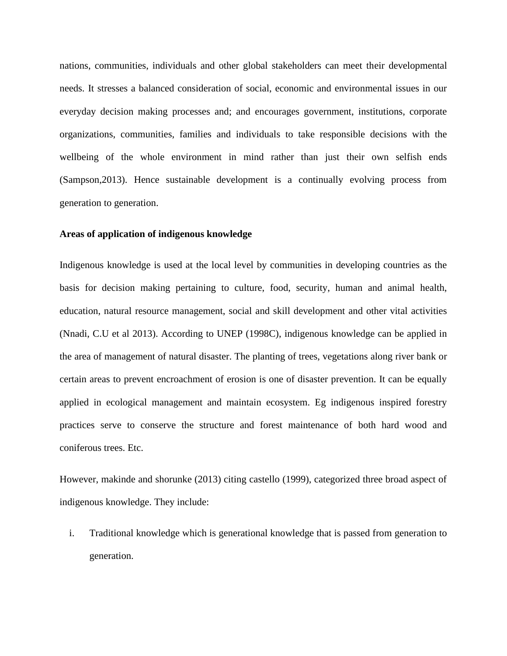nations, communities, individuals and other global stakeholders can meet their developmental needs. It stresses a balanced consideration of social, economic and environmental issues in our everyday decision making processes and; and encourages government, institutions, corporate organizations, communities, families and individuals to take responsible decisions with the wellbeing of the whole environment in mind rather than just their own selfish ends (Sampson,2013). Hence sustainable development is a continually evolving process from generation to generation.

#### **Areas of application of indigenous knowledge**

Indigenous knowledge is used at the local level by communities in developing countries as the basis for decision making pertaining to culture, food, security, human and animal health, education, natural resource management, social and skill development and other vital activities (Nnadi, C.U et al 2013). According to UNEP (1998C), indigenous knowledge can be applied in the area of management of natural disaster. The planting of trees, vegetations along river bank or certain areas to prevent encroachment of erosion is one of disaster prevention. It can be equally applied in ecological management and maintain ecosystem. Eg indigenous inspired forestry practices serve to conserve the structure and forest maintenance of both hard wood and coniferous trees. Etc.

However, makinde and shorunke (2013) citing castello (1999), categorized three broad aspect of indigenous knowledge. They include:

i. Traditional knowledge which is generational knowledge that is passed from generation to generation.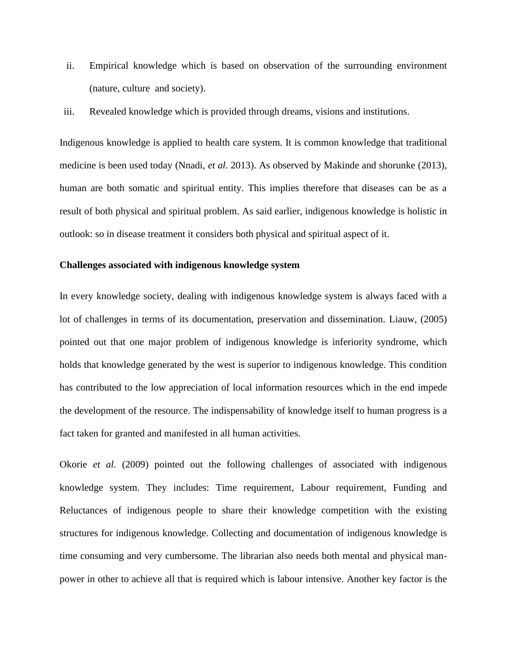- ii. Empirical knowledge which is based on observation of the surrounding environment (nature, culture and society).
- iii. Revealed knowledge which is provided through dreams, visions and institutions.

Indigenous knowledge is applied to health care system. It is common knowledge that traditional medicine is been used today (Nnadi, *et al*. 2013). As observed by Makinde and shorunke (2013), human are both somatic and spiritual entity. This implies therefore that diseases can be as a result of both physical and spiritual problem. As said earlier, indigenous knowledge is holistic in outlook: so in disease treatment it considers both physical and spiritual aspect of it.

#### **Challenges associated with indigenous knowledge system**

In every knowledge society, dealing with indigenous knowledge system is always faced with a lot of challenges in terms of its documentation, preservation and dissemination. Liauw, (2005) pointed out that one major problem of indigenous knowledge is inferiority syndrome, which holds that knowledge generated by the west is superior to indigenous knowledge. This condition has contributed to the low appreciation of local information resources which in the end impede the development of the resource. The indispensability of knowledge itself to human progress is a fact taken for granted and manifested in all human activities.

Okorie *et al.* (2009) pointed out the following challenges of associated with indigenous knowledge system. They includes: Time requirement, Labour requirement, Funding and Reluctances of indigenous people to share their knowledge competition with the existing structures for indigenous knowledge. Collecting and documentation of indigenous knowledge is time consuming and very cumbersome. The librarian also needs both mental and physical manpower in other to achieve all that is required which is labour intensive. Another key factor is the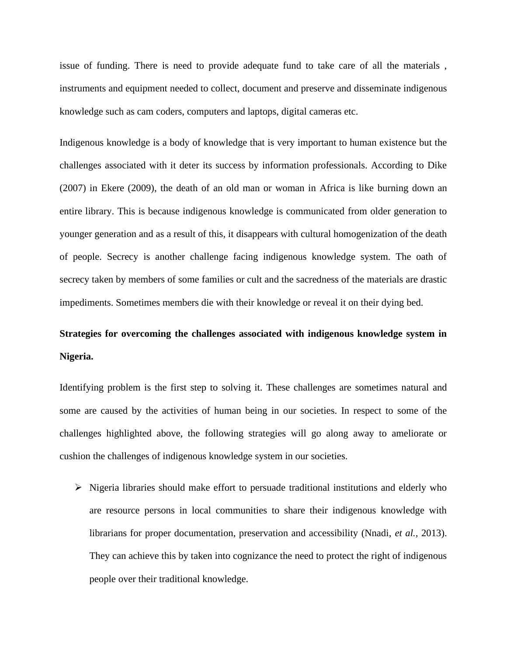issue of funding. There is need to provide adequate fund to take care of all the materials , instruments and equipment needed to collect, document and preserve and disseminate indigenous knowledge such as cam coders, computers and laptops, digital cameras etc.

Indigenous knowledge is a body of knowledge that is very important to human existence but the challenges associated with it deter its success by information professionals. According to Dike (2007) in Ekere (2009), the death of an old man or woman in Africa is like burning down an entire library. This is because indigenous knowledge is communicated from older generation to younger generation and as a result of this, it disappears with cultural homogenization of the death of people. Secrecy is another challenge facing indigenous knowledge system. The oath of secrecy taken by members of some families or cult and the sacredness of the materials are drastic impediments. Sometimes members die with their knowledge or reveal it on their dying bed.

## **Strategies for overcoming the challenges associated with indigenous knowledge system in Nigeria.**

Identifying problem is the first step to solving it. These challenges are sometimes natural and some are caused by the activities of human being in our societies. In respect to some of the challenges highlighted above, the following strategies will go along away to ameliorate or cushion the challenges of indigenous knowledge system in our societies.

➢ Nigeria libraries should make effort to persuade traditional institutions and elderly who are resource persons in local communities to share their indigenous knowledge with librarians for proper documentation, preservation and accessibility (Nnadi, *et al.,* 2013). They can achieve this by taken into cognizance the need to protect the right of indigenous people over their traditional knowledge.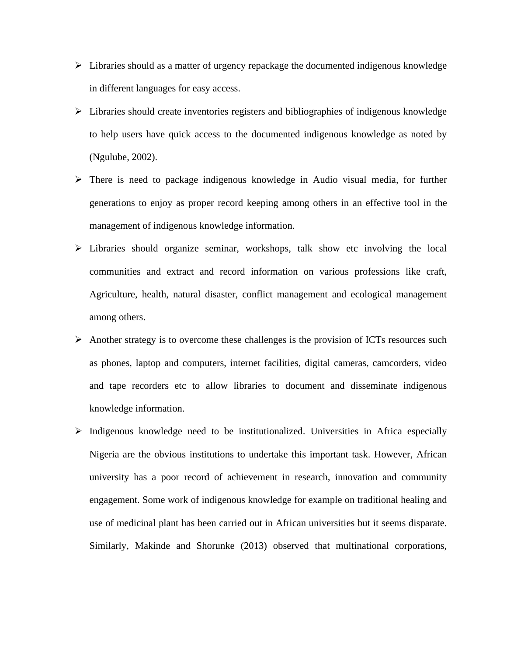- ➢ Libraries should as a matter of urgency repackage the documented indigenous knowledge in different languages for easy access.
- ➢ Libraries should create inventories registers and bibliographies of indigenous knowledge to help users have quick access to the documented indigenous knowledge as noted by (Ngulube, 2002).
- ➢ There is need to package indigenous knowledge in Audio visual media, for further generations to enjoy as proper record keeping among others in an effective tool in the management of indigenous knowledge information.
- ➢ Libraries should organize seminar, workshops, talk show etc involving the local communities and extract and record information on various professions like craft, Agriculture, health, natural disaster, conflict management and ecological management among others.
- ➢ Another strategy is to overcome these challenges is the provision of ICTs resources such as phones, laptop and computers, internet facilities, digital cameras, camcorders, video and tape recorders etc to allow libraries to document and disseminate indigenous knowledge information.
- ➢ Indigenous knowledge need to be institutionalized. Universities in Africa especially Nigeria are the obvious institutions to undertake this important task. However, African university has a poor record of achievement in research, innovation and community engagement. Some work of indigenous knowledge for example on traditional healing and use of medicinal plant has been carried out in African universities but it seems disparate. Similarly, Makinde and Shorunke (2013) observed that multinational corporations,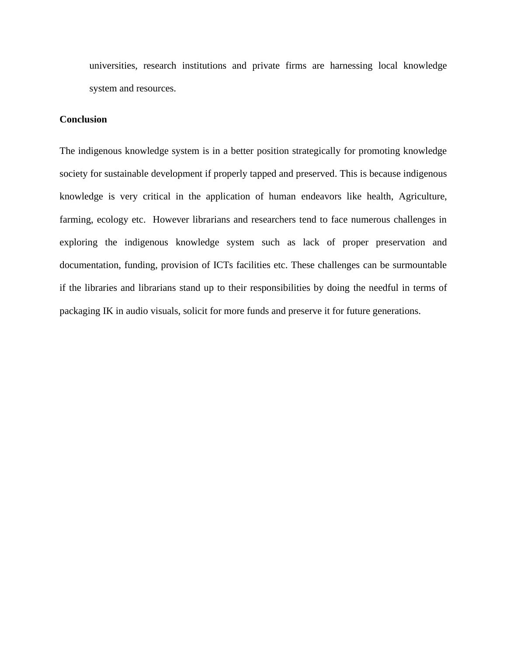universities, research institutions and private firms are harnessing local knowledge system and resources.

#### **Conclusion**

The indigenous knowledge system is in a better position strategically for promoting knowledge society for sustainable development if properly tapped and preserved. This is because indigenous knowledge is very critical in the application of human endeavors like health, Agriculture, farming, ecology etc. However librarians and researchers tend to face numerous challenges in exploring the indigenous knowledge system such as lack of proper preservation and documentation, funding, provision of ICTs facilities etc. These challenges can be surmountable if the libraries and librarians stand up to their responsibilities by doing the needful in terms of packaging IK in audio visuals, solicit for more funds and preserve it for future generations.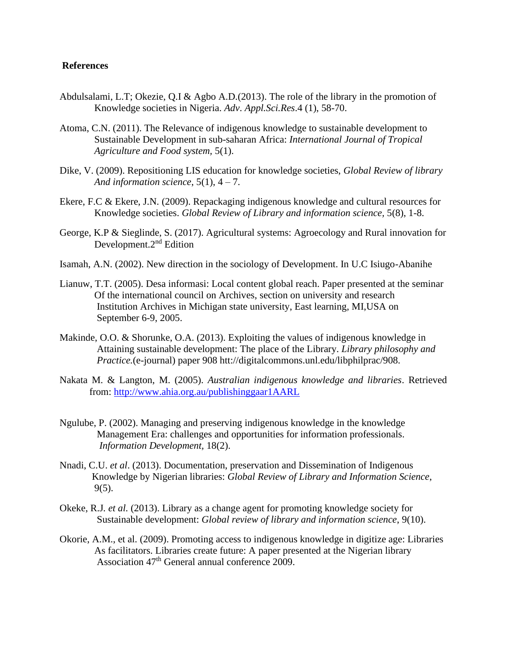#### **References**

- Abdulsalami, L.T; Okezie, Q.I & Agbo A.D.(2013). The role of the library in the promotion of Knowledge societies in Nigeria. *Adv*. *Appl.Sci.Res*.4 (1), 58-70.
- Atoma, C.N. (2011). The Relevance of indigenous knowledge to sustainable development to Sustainable Development in sub-saharan Africa: *International Journal of Tropical Agriculture and Food system,* 5(1).
- Dike, V. (2009). Repositioning LIS education for knowledge societies, *Global Review of library And information science*,  $5(1)$ ,  $4 - 7$ .
- Ekere, F.C & Ekere, J.N. (2009). Repackaging indigenous knowledge and cultural resources for Knowledge societies. *Global Review of Library and information science,* 5(8), 1-8.
- George, K.P & Sieglinde, S. (2017). Agricultural systems: Agroecology and Rural innovation for Development.2nd Edition
- Isamah, A.N. (2002). New direction in the sociology of Development. In U.C Isiugo-Abanihe
- Lianuw, T.T. (2005). Desa informasi: Local content global reach. Paper presented at the seminar Of the international council on Archives, section on university and research Institution Archives in Michigan state university, East learning, MI,USA on September 6-9, 2005.
- Makinde, O.O. & Shorunke, O.A. (2013). Exploiting the values of indigenous knowledge in Attaining sustainable development: The place of the Library. *Library philosophy and Practice.*(e-journal) paper 908 htt://digitalcommons.unl.edu/libphilprac/908.
- Nakata M. & Langton, M. (2005). *Australian indigenous knowledge and libraries*. Retrieved from:<http://www.ahia.org.au/publishinggaar1AARL>
- Ngulube, P. (2002). Managing and preserving indigenous knowledge in the knowledge Management Era: challenges and opportunities for information professionals. *Information Development,* 18(2).
- Nnadi, C.U. *et al*. (2013). Documentation, preservation and Dissemination of Indigenous Knowledge by Nigerian libraries: *Global Review of Library and Information Science*, 9(5).
- Okeke, R.J*. et al.* (2013). Library as a change agent for promoting knowledge society for Sustainable development: *Global review of library and information science*, 9(10).
- Okorie, A.M., et al. (2009). Promoting access to indigenous knowledge in digitize age: Libraries As facilitators. Libraries create future: A paper presented at the Nigerian library Association 47<sup>th</sup> General annual conference 2009.